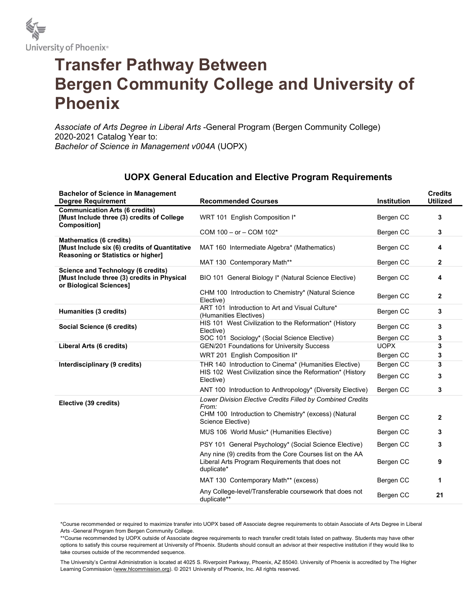

## Transfer Pathway Between Bergen Community College and University of Phoenix

Associate of Arts Degree in Liberal Arts -General Program (Bergen Community College) 2020-2021 Catalog Year to: Bachelor of Science in Management v004A (UOPX)

| <b>Bachelor of Science in Management</b><br><b>Degree Requirement</b>                                                        | <b>Recommended Courses</b>                                                                                                         | <b>Institution</b>     | <b>Credits</b><br><b>Utilized</b> |
|------------------------------------------------------------------------------------------------------------------------------|------------------------------------------------------------------------------------------------------------------------------------|------------------------|-----------------------------------|
| <b>Communication Arts (6 credits)</b><br>[Must Include three (3) credits of College<br><b>Composition]</b>                   | WRT 101 English Composition I*                                                                                                     | Bergen CC              | 3                                 |
|                                                                                                                              | COM $100 - or - COM 102*$                                                                                                          | Bergen CC              | 3                                 |
| <b>Mathematics (6 credits)</b><br>[Must Include six (6) credits of Quantitative<br><b>Reasoning or Statistics or higher]</b> | MAT 160 Intermediate Algebra* (Mathematics)                                                                                        | Bergen CC              | 4                                 |
|                                                                                                                              | MAT 130 Contemporary Math**                                                                                                        | Bergen CC              | $\mathbf{2}$                      |
| <b>Science and Technology (6 credits)</b><br>[Must Include three (3) credits in Physical<br>or Biological Sciences]          | BIO 101 General Biology I* (Natural Science Elective)                                                                              | Bergen CC              | 4                                 |
|                                                                                                                              | CHM 100 Introduction to Chemistry* (Natural Science<br>Elective)                                                                   | Bergen CC              | $\mathbf{2}$                      |
| Humanities (3 credits)                                                                                                       | ART 101 Introduction to Art and Visual Culture*<br>(Humanities Electives)                                                          | Bergen CC              | 3                                 |
| Social Science (6 credits)                                                                                                   | HIS 101 West Civilization to the Reformation* (History<br>Elective)                                                                | Bergen CC              | 3                                 |
|                                                                                                                              | SOC 101 Sociology* (Social Science Elective)                                                                                       | Bergen CC              | 3                                 |
| Liberal Arts (6 credits)                                                                                                     | <b>GEN/201 Foundations for University Success</b>                                                                                  | <b>UOPX</b>            | 3                                 |
|                                                                                                                              | WRT 201 English Composition II*                                                                                                    | Bergen CC              | 3                                 |
| Interdisciplinary (9 credits)                                                                                                | THR 140 Introduction to Cinema* (Humanities Elective)<br>HIS 102 West Civilization since the Reformation* (History<br>Elective)    | Bergen CC<br>Bergen CC | 3<br>3                            |
|                                                                                                                              | ANT 100 Introduction to Anthropology* (Diversity Elective)                                                                         | Bergen CC              | 3                                 |
| Elective (39 credits)                                                                                                        | <b>Lower Division Elective Credits Filled by Combined Credits</b><br>From:<br>CHM 100 Introduction to Chemistry* (excess) (Natural |                        |                                   |
|                                                                                                                              | Science Elective)                                                                                                                  | Bergen CC              | $\mathbf{2}$                      |
|                                                                                                                              | MUS 106 World Music* (Humanities Elective)                                                                                         | Bergen CC              | 3                                 |
|                                                                                                                              | PSY 101 General Psychology* (Social Science Elective)                                                                              | Bergen CC              | 3                                 |
|                                                                                                                              | Any nine (9) credits from the Core Courses list on the AA<br>Liberal Arts Program Requirements that does not<br>duplicate*         | Bergen CC              | 9                                 |
|                                                                                                                              | MAT 130 Contemporary Math** (excess)                                                                                               | Bergen CC              | 1                                 |
|                                                                                                                              | Any College-level/Transferable coursework that does not<br>duplicate**                                                             | Bergen CC              | 21                                |

## UOPX General Education and Elective Program Requirements

\*Course recommended or required to maximize transfer into UOPX based off Associate degree requirements to obtain Associate of Arts Degree in Liberal Arts -General Program from Bergen Community College.

\*\*Course recommended by UOPX outside of Associate degree requirements to reach transfer credit totals listed on pathway. Students may have other options to satisfy this course requirement at University of Phoenix. Students should consult an advisor at their respective institution if they would like to take courses outside of the recommended sequence.

The University's Central Administration is located at 4025 S. Riverpoint Parkway, Phoenix, AZ 85040. University of Phoenix is accredited by The Higher Learning Commission (www.hlcommission.org). © 2021 University of Phoenix, Inc. All rights reserved.